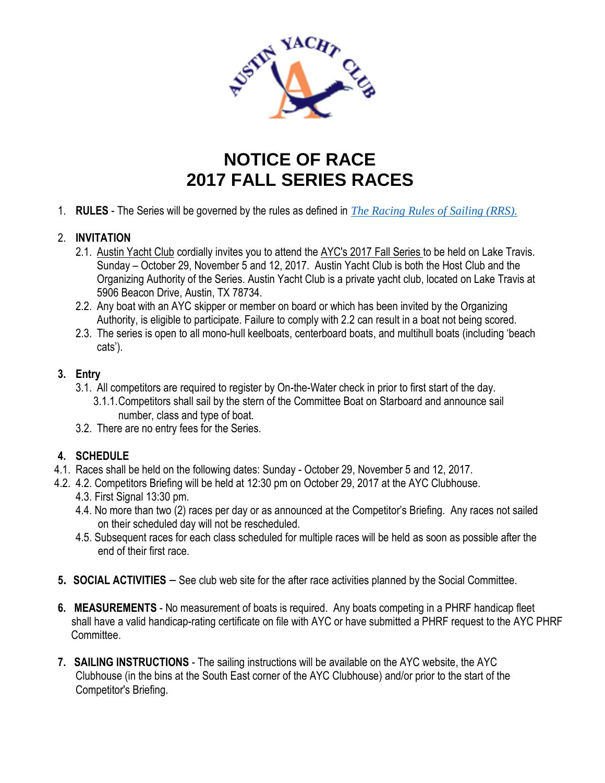

# **NOTICE OF RACE 2017 FALL SERIES RACES**

1. **RULES** - The Series will be governed by the rules as defined in *The Racing Rules of Sailing (RRS).*

## 2. **INVITATION**

- 2.1. Austin Yacht Club cordially invites you to attend the AYC's 2017 Fall Series to be held on Lake Travis. Sunday – October 29, November 5 and 12, 2017. Austin Yacht Club is both the Host Club and the Organizing Authority of the Series. Austin Yacht Club is a private yacht club, located on Lake Travis at 5906 Beacon Drive, Austin, TX 78734.
- 2.2. Any boat with an AYC skipper or member on board or which has been invited by the Organizing Authority, is eligible to participate. Failure to comply with 2.2 can result in a boat not being scored.
- 2.3. The series is open to all mono-hull keelboats, centerboard boats, and multihull boats (including 'beach cats').

### **3. Entry**

- 3.1. All competitors are required to register by On-the-Water check in prior to first start of the day.
	- 3.1.1.Competitors shall sail by the stern of the Committee Boat on Starboard and announce sail number, class and type of boat.
- 3.2. There are no entry fees for the Series.

## **4. SCHEDULE**

- 4.1. Races shall be held on the following dates: Sunday October 29, November 5 and 12, 2017.
- 4.2. 4.2. Competitors Briefing will be held at 12:30 pm on October 29, 2017 at the AYC Clubhouse. 4.3. First Signal 13:30 pm.
	- 4.4. No more than two (2) races per day or as announced at the Competitor's Briefing. Any races not sailed on their scheduled day will not be rescheduled.
	- 4.5. Subsequent races for each class scheduled for multiple races will be held as soon as possible after the end of their first race.
- **5. SOCIAL ACTIVITIES** See club web site for the after race activities planned by the Social Committee.
- **6. MEASUREMENTS** No measurement of boats is required. Any boats competing in a PHRF handicap fleet shall have a valid handicap-rating certificate on file with AYC or have submitted a PHRF request to the AYC PHRF Committee.
- **7. SAILING INSTRUCTIONS** The sailing instructions will be available on the AYC website, the AYC Clubhouse (in the bins at the South East corner of the AYC Clubhouse) and/or prior to the start of the Competitor's Briefing.